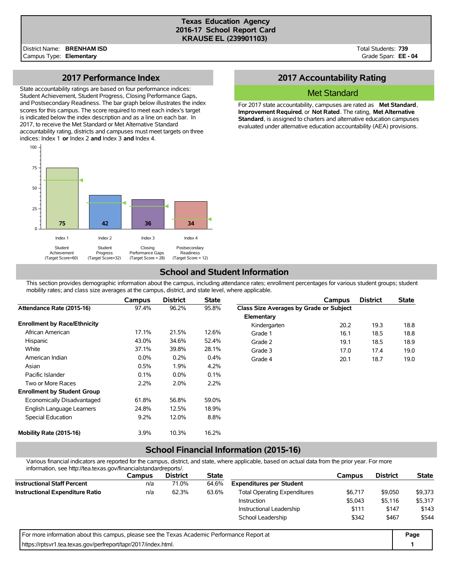#### **Texas Education Agency 2016-17 School Report Card KRAUSE EL (239901103)**

Total Students: **739** Grade Span: **EE - 04**

### **2017 Performance Index**

State accountability ratings are based on four performance indices: Student Achievement, Student Progress, Closing Performance Gaps, and Postsecondary Readiness. The bar graph below illustrates the index scores for this campus. The score required to meet each index's target is indicated below the index description and as a line on each bar. In 2017, to receive the Met Standard or Met Alternative Standard accountability rating, districts and campuses must meet targets on three indices: Index 1 **or** Index 2 **and** Index 3 **and** Index 4.



## **2017 Accountability Rating**

### Met Standard

For 2017 state accountability, campuses are rated as **Met Standard**, **Improvement Required**, or **Not Rated**. The rating, **Met Alternative Standard**, is assigned to charters and alternative education campuses evaluated under alternative education accountability (AEA) provisions.

### **School and Student Information**

This section provides demographic information about the campus, including attendance rates; enrollment percentages for various student groups; student mobility rates; and class size averages at the campus, district, and state level, where applicable.

|                                     | Campus  | <b>District</b> | <b>State</b> |                                         | Campus | <b>District</b> | <b>State</b> |
|-------------------------------------|---------|-----------------|--------------|-----------------------------------------|--------|-----------------|--------------|
| Attendance Rate (2015-16)           | 97.4%   | 96.2%           | 95.8%        | Class Size Averages by Grade or Subject |        |                 |              |
|                                     |         |                 |              | Elementary                              |        |                 |              |
| <b>Enrollment by Race/Ethnicity</b> |         |                 |              | Kindergarten                            | 20.2   | 19.3            | 18.8         |
| African American                    | 17.1%   | 21.5%           | 12.6%        | Grade 1                                 | 16.1   | 18.5            | 18.8         |
| Hispanic                            | 43.0%   | 34.6%           | 52.4%        | Grade 2                                 | 19.1   | 18.5            | 18.9         |
| White                               | 37.1%   | 39.8%           | 28.1%        | Grade 3                                 | 17.0   | 17.4            | 19.0         |
| American Indian                     | $0.0\%$ | 0.2%            | 0.4%         | Grade 4                                 | 20.1   | 18.7            | 19.0         |
| Asian                               | 0.5%    | 1.9%            | 4.2%         |                                         |        |                 |              |
| Pacific Islander                    | 0.1%    | $0.0\%$         | 0.1%         |                                         |        |                 |              |
| Two or More Races                   | 2.2%    | 2.0%            | 2.2%         |                                         |        |                 |              |
| <b>Enrollment by Student Group</b>  |         |                 |              |                                         |        |                 |              |
| Economically Disadvantaged          | 61.8%   | 56.8%           | 59.0%        |                                         |        |                 |              |
| English Language Learners           | 24.8%   | 12.5%           | 18.9%        |                                         |        |                 |              |
| Special Education                   | 9.2%    | 12.0%           | 8.8%         |                                         |        |                 |              |
| Mobility Rate (2015-16)             | $3.9\%$ | 10.3%           | 16.2%        |                                         |        |                 |              |

# **School Financial Information (2015-16)**

Various financial indicators are reported for the campus, district, and state, where applicable, based on actual data from the prior year. For more information, see http://tea.texas.gov/financialstandardreports/.

| information, see nitip.//tea.texas.gov/ilitaricialsiandardreports/.                         |        |                 |              |                                     |         |                 |              |  |
|---------------------------------------------------------------------------------------------|--------|-----------------|--------------|-------------------------------------|---------|-----------------|--------------|--|
|                                                                                             | Campus | <b>District</b> | <b>State</b> |                                     | Campus  | <b>District</b> | <b>State</b> |  |
| <b>Instructional Staff Percent</b>                                                          | n/a    | 71.0%           | 64.6%        | <b>Expenditures per Student</b>     |         |                 |              |  |
| <b>Instructional Expenditure Ratio</b>                                                      | n/a    | 62.3%           | 63.6%        | <b>Total Operating Expenditures</b> | \$6,717 | \$9,050         | \$9,373      |  |
|                                                                                             |        |                 |              | <b>Instruction</b>                  | \$5,043 | \$5,116         | \$5,317      |  |
|                                                                                             |        |                 |              | Instructional Leadership            | \$111   | \$147           | \$143        |  |
|                                                                                             |        |                 |              | School Leadership                   | \$342   | \$467           | \$544        |  |
| For more information about this campus, please see the Texas Academic Performance Report at |        |                 |              |                                     |         |                 |              |  |
| https://rptsvr1.tea.texas.gov/perfreport/tapr/2017/index.html.                              |        |                 |              |                                     |         |                 |              |  |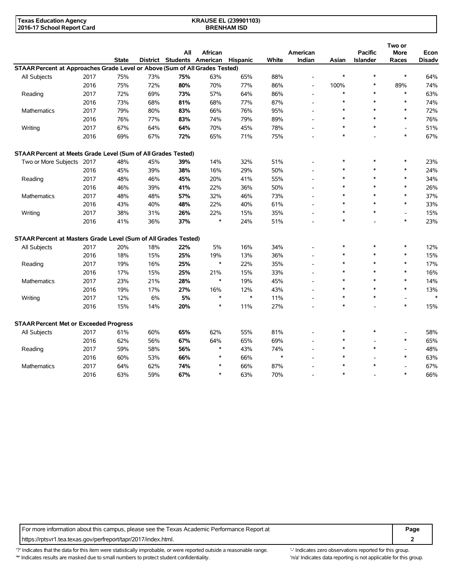| <b>Texas Education Agency</b> | <b>KRAUSE EL (239901103)</b> |  |
|-------------------------------|------------------------------|--|
| 2016-17 School Report Card    | <b>BRENHAM ISD</b>           |  |

|                                                                             |      |              |     |                                     |         |        |              |                          |        |                 | Two or      |               |
|-----------------------------------------------------------------------------|------|--------------|-----|-------------------------------------|---------|--------|--------------|--------------------------|--------|-----------------|-------------|---------------|
|                                                                             |      |              |     | All                                 | African |        |              | American                 |        | <b>Pacific</b>  | <b>More</b> | Econ          |
|                                                                             |      | <b>State</b> |     | District Students American Hispanic |         |        | <b>White</b> | Indian                   | Asian  | <b>Islander</b> | Races       | <b>Disadv</b> |
| STAAR Percent at Approaches Grade Level or Above (Sum of All Grades Tested) |      |              |     |                                     |         |        |              |                          |        |                 |             |               |
| All Subjects                                                                | 2017 | 75%          | 73% | 75%                                 | 63%     | 65%    | 88%          | $\overline{\phantom{a}}$ | $\ast$ | $\ast$          | $\ast$      | 64%           |
|                                                                             | 2016 | 75%          | 72% | 80%                                 | 70%     | 77%    | 86%          | $\overline{\phantom{a}}$ | 100%   | $\ast$          | 89%         | 74%           |
| Reading                                                                     | 2017 | 72%          | 69% | 73%                                 | 57%     | 64%    | 86%          | $\overline{\phantom{a}}$ | $\ast$ | $\ast$          | $\ast$      | 63%           |
|                                                                             | 2016 | 73%          | 68% | 81%                                 | 68%     | 77%    | 87%          |                          | $\ast$ | $\ast$          | $\ast$      | 74%           |
| Mathematics                                                                 | 2017 | 79%          | 80% | 83%                                 | 66%     | 76%    | 95%          |                          | $\ast$ | $\ast$          | $\ast$      | 72%           |
|                                                                             | 2016 | 76%          | 77% | 83%                                 | 74%     | 79%    | 89%          | $\overline{\phantom{a}}$ | $\ast$ | $\ast$          | $\ast$      | 76%           |
| Writing                                                                     | 2017 | 67%          | 64% | 64%                                 | 70%     | 45%    | 78%          |                          | $\ast$ | $\ast$          |             | 51%           |
|                                                                             | 2016 | 69%          | 67% | 72%                                 | 65%     | 71%    | 75%          | $\overline{a}$           | *      |                 | $\ast$      | 67%           |
| STAAR Percent at Meets Grade Level (Sum of All Grades Tested)               |      |              |     |                                     |         |        |              |                          |        |                 |             |               |
| Two or More Subjects                                                        | 2017 | 48%          | 45% | 39%                                 | 14%     | 32%    | 51%          |                          | $\ast$ | $\ast$          | $\ast$      | 23%           |
|                                                                             | 2016 | 45%          | 39% | 38%                                 | 16%     | 29%    | 50%          |                          | $\ast$ | $\ast$          | $\ast$      | 24%           |
| Reading                                                                     | 2017 | 48%          | 46% | 45%                                 | 20%     | 41%    | 55%          |                          | $\ast$ | $\ast$          | $\ast$      | 34%           |
|                                                                             | 2016 | 46%          | 39% | 41%                                 | 22%     | 36%    | 50%          |                          | $\ast$ | $\ast$          | $\ast$      | 26%           |
| Mathematics                                                                 | 2017 | 48%          | 48% | 57%                                 | 32%     | 46%    | 73%          |                          | $\ast$ | $\ast$          | $\ast$      | 37%           |
|                                                                             | 2016 | 43%          | 40% | 48%                                 | 22%     | 40%    | 61%          | $\overline{a}$           | $\ast$ | $\ast$          | $\ast$      | 33%           |
| Writing                                                                     | 2017 | 38%          | 31% | 26%                                 | 22%     | 15%    | 35%          | $\overline{\phantom{a}}$ | $\ast$ | $\pmb{\ast}$    |             | 15%           |
|                                                                             | 2016 | 41%          | 36% | 37%                                 | $\ast$  | 24%    | 51%          |                          | $\ast$ |                 | $\ast$      | 23%           |
| STAAR Percent at Masters Grade Level (Sum of All Grades Tested)             |      |              |     |                                     |         |        |              |                          |        |                 |             |               |
| All Subjects                                                                | 2017 | 20%          | 18% | 22%                                 | 5%      | 16%    | 34%          |                          | ∗      | $\ast$          | $\ast$      | 12%           |
|                                                                             | 2016 | 18%          | 15% | 25%                                 | 19%     | 13%    | 36%          | $\overline{\phantom{a}}$ | $\ast$ | $\ast$          | $\ast$      | 15%           |
| Reading                                                                     | 2017 | 19%          | 16% | 25%                                 | $\ast$  | 22%    | 35%          |                          | $\ast$ | $\ast$          | $\ast$      | 17%           |
|                                                                             | 2016 | 17%          | 15% | 25%                                 | 21%     | 15%    | 33%          |                          | $\ast$ | $\ast$          | $\ast$      | 16%           |
| Mathematics                                                                 | 2017 | 23%          | 21% | 28%                                 | $\ast$  | 19%    | 45%          |                          | $\ast$ | $\ast$          | $\ast$      | 14%           |
|                                                                             | 2016 | 19%          | 17% | 27%                                 | 16%     | 12%    | 43%          |                          | $\ast$ | $\ast$          | $\ast$      | 13%           |
| Writing                                                                     | 2017 | 12%          | 6%  | 5%                                  | $\ast$  | $\ast$ | 11%          | $\overline{\phantom{a}}$ | $\ast$ | $\ast$          |             | $\ast$        |
|                                                                             | 2016 | 15%          | 14% | 20%                                 | $\ast$  | 11%    | 27%          |                          | $\ast$ |                 | $\ast$      | 15%           |
| <b>STAAR Percent Met or Exceeded Progress</b>                               |      |              |     |                                     |         |        |              |                          |        |                 |             |               |
| All Subjects                                                                | 2017 | 61%          | 60% | 65%                                 | 62%     | 55%    | 81%          |                          | $\ast$ | $\ast$          |             | 58%           |
|                                                                             | 2016 | 62%          | 56% | 67%                                 | 64%     | 65%    | 69%          |                          | *      |                 | $\ast$      | 65%           |
| Reading                                                                     | 2017 | 59%          | 58% | 56%                                 | *       | 43%    | 74%          | $\overline{\phantom{a}}$ | *      | $\ast$          |             | 48%           |
|                                                                             | 2016 | 60%          | 53% | 66%                                 | $\ast$  | 66%    | $\ast$       |                          | $\ast$ |                 | $\ast$      | 63%           |
| <b>Mathematics</b>                                                          | 2017 | 64%          | 62% | 74%                                 | $\ast$  | 66%    | 87%          |                          | $\ast$ | $\ast$          |             | 67%           |
|                                                                             | 2016 | 63%          | 59% | 67%                                 | $\ast$  | 63%    | 70%          |                          | $\ast$ |                 | $\ast$      | 66%           |

For more information about this campus, please see the Texas Academic Performance Report at **Page Page** https://rptsvr1.tea.texas.gov/perfreport/tapr/2017/index.html. **2**

'?' Indicates that the data for this item were statistically improbable, or were reported outside a reasonable range. '-' Indicates zero observations reported for this group. '\*' Indicates results are masked due to small numbers to protect student confidentiality. Moreover, the context of the strong is not applicable for this group.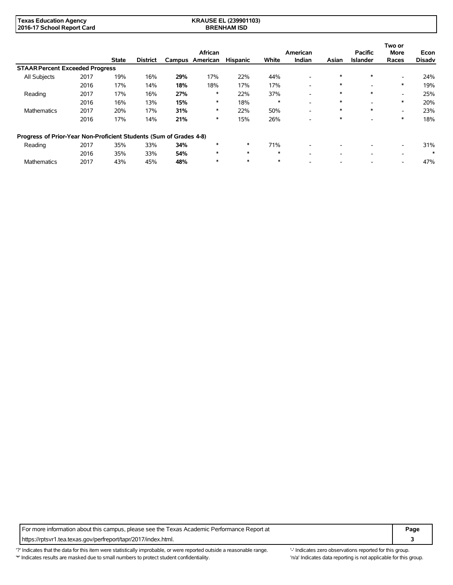| <b>Texas Education Agency</b> | <b>KRAUSE EL (239901103)</b> |  |
|-------------------------------|------------------------------|--|
| 2016-17 School Report Card    | <b>BRENHAM ISD</b>           |  |

|                                                                    |      |              |                 |     | African         |                 |        | American                 |        | <b>Pacific</b>           | Two or<br>More           | Econ          |
|--------------------------------------------------------------------|------|--------------|-----------------|-----|-----------------|-----------------|--------|--------------------------|--------|--------------------------|--------------------------|---------------|
|                                                                    |      | <b>State</b> | <b>District</b> |     | Campus American | <b>Hispanic</b> | White  | Indian                   | Asian  | <b>Islander</b>          | Races                    | <b>Disadv</b> |
| <b>STAAR Percent Exceeded Progress</b>                             |      |              |                 |     |                 |                 |        |                          |        |                          |                          |               |
| All Subjects                                                       | 2017 | 19%          | 16%             | 29% | 17%             | 22%             | 44%    | $\overline{\phantom{a}}$ | $\ast$ | $\ast$                   | $\overline{\phantom{a}}$ | 24%           |
|                                                                    | 2016 | 17%          | 14%             | 18% | 18%             | 17%             | 17%    | $\overline{\phantom{a}}$ | $\ast$ | -                        | $\ast$                   | 19%           |
| Reading                                                            | 2017 | 17%          | 16%             | 27% | ∗               | 22%             | 37%    | $\overline{\phantom{a}}$ | $\ast$ | $\ast$                   | ۰                        | 25%           |
|                                                                    | 2016 | 16%          | 13%             | 15% | ∗               | 18%             | $\ast$ | $\overline{\phantom{a}}$ | $\ast$ | -                        | $\ast$                   | 20%           |
| <b>Mathematics</b>                                                 | 2017 | 20%          | 17%             | 31% | ∗               | 22%             | 50%    | -                        | *      | $\ast$                   | $\overline{\phantom{a}}$ | 23%           |
|                                                                    | 2016 | 17%          | 14%             | 21% | ∗               | 15%             | 26%    | $\overline{\phantom{a}}$ | *      |                          | $\ast$                   | 18%           |
| Progress of Prior-Year Non-Proficient Students (Sum of Grades 4-8) |      |              |                 |     |                 |                 |        |                          |        |                          |                          |               |
| Reading                                                            | 2017 | 35%          | 33%             | 34% |                 | $\ast$          | 71%    | $\overline{\phantom{a}}$ |        | $\overline{\phantom{a}}$ | $\overline{\phantom{a}}$ | 31%           |
|                                                                    | 2016 | 35%          | 33%             | 54% | $\ast$          | $\ast$          | $\ast$ | $\overline{\phantom{0}}$ |        | -                        | $\overline{\phantom{a}}$ | $\ast$        |
| <b>Mathematics</b>                                                 | 2017 | 43%          | 45%             | 48% | $\ast$          | $\ast$          | $\ast$ |                          |        |                          |                          | 47%           |

For more information about this campus, please see the Texas Academic Performance Report at **Page Page** https://rptsvr1.tea.texas.gov/perfreport/tapr/2017/index.html. **3**

'?' Indicates that the data for this item were statistically improbable, or were reported outside a reasonable range. '-' Indicates zero observations reported for this group. \*' Indicates results are masked due to small numbers to protect student confidentiality. Ma' Indicates data reporting is not applicable for this group.